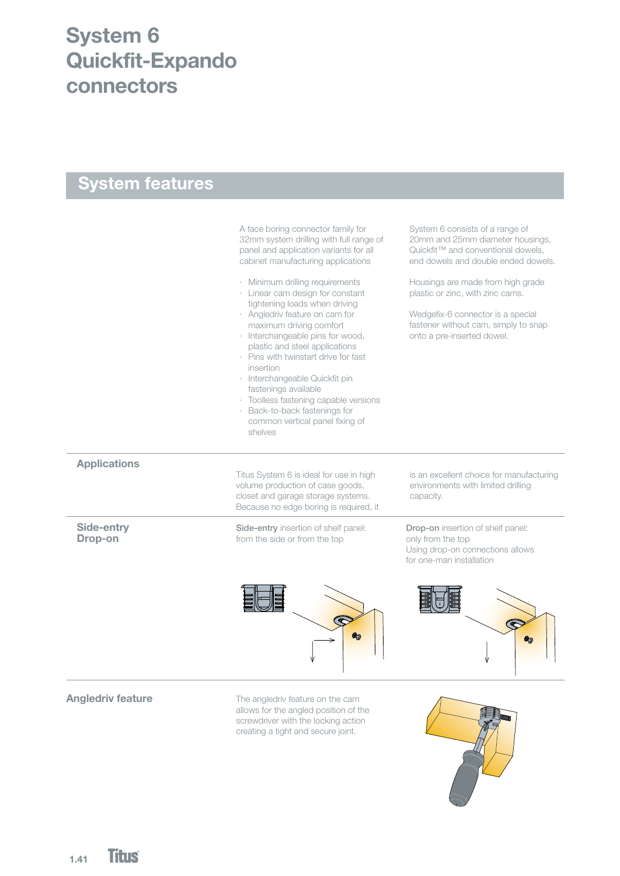# System 6 Quickfit-Expando connectors

### System features

A face boring connector family for 32mm system drilling with full range of panel and application variants for all cabinet manufacturing applications

- · Minimum drilling requirements
- · Linear cam design for constant tightening loads when driving
- · Angledriv feature on cam for maximum driving comfort
- · Interchangeable pins for wood,
- plastic and steel applications · Pins with twinstart drive for fast insertion
- · Interchangeable Quickfit pin fastenings available
- · Toolless fastening capable versions
- · Back-to-back fastenings for common vertical panel fixing of
- shelves

System 6 consists of a range of 20mm and 25mm diameter housings, Quickfit<sup>™</sup> and conventional dowels, end dowels and double ended dowels.

Housings are made from high grade plastic or zinc, with zinc cams.

Wedgefix-6 connector is a special fastener without cam, simply to snap onto a pre-inserted dowel.

#### **Applications**

Titus System 6 is ideal for use in high volume production of case goods, closet and garage storage systems. Because no edge boring is required, it

from the side or from the top Side-entry insertion of shelf panel: is an excellent choice for manufacturing environments with limited drilling capacity.

Side-entry Drop-on

Drop-on insertion of shelf panel: only from the top Using drop-on connections allows for one-man installation





#### Angledriv feature

The angledriv feature on the cam allows for the angled position of the screwdriver with the locking action creating a tight and secure joint.